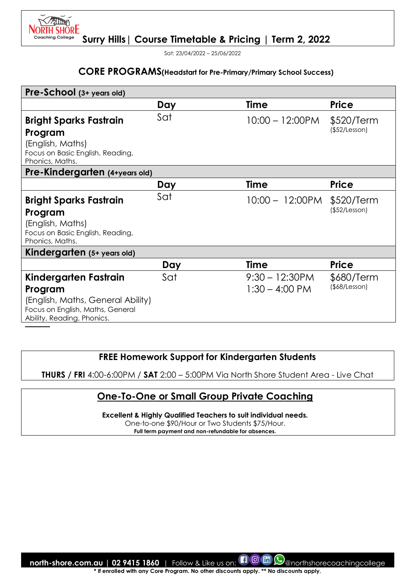

Sat: 23/04/2022 – 25/06/2022

**NORTH SHORE** Coachina College

#### **CORE PROGRAMS(Headstart for Pre-Primary/Primary School Success)**

| Pre-School (3+ years old)                           |     |                    |               |
|-----------------------------------------------------|-----|--------------------|---------------|
|                                                     | Day | <b>Time</b>        | <b>Price</b>  |
| <b>Bright Sparks Fastrain</b>                       | Sat | $10:00 - 12:00$ PM | \$520/Term    |
| Program                                             |     |                    | (\$52/Lesson) |
| (English, Maths)                                    |     |                    |               |
| Focus on Basic English, Reading,<br>Phonics, Maths. |     |                    |               |
| Pre-Kindergarten (4+years old)                      |     |                    |               |
|                                                     | Day | <b>Time</b>        | <b>Price</b>  |
| <b>Bright Sparks Fastrain</b>                       | Sat | $10:00 - 12:00$ PM | \$520/Term    |
| Program                                             |     |                    | (\$52/Lesson) |
| (English, Maths)                                    |     |                    |               |
| Focus on Basic English, Reading,<br>Phonics, Maths. |     |                    |               |
| Kindergarten (5+ years old)                         |     |                    |               |
|                                                     | Day | Time               | <b>Price</b>  |
| Kindergarten Fastrain                               | Sat | $9:30 - 12:30$ PM  | \$680/Term    |
| Program                                             |     | $1:30 - 4:00$ PM   | (\$8/Lesson)  |
| (English, Maths, General Ability)                   |     |                    |               |
| Focus on English, Maths, General                    |     |                    |               |
| Ability, Reading, Phonics.                          |     |                    |               |

### **FREE Homework Support for Kindergarten Students**

**THURS / FRI** 4:00-6:00PM / **SAT** 2:00 – 5:00PM Via North Shore Student Area - Live Chat

### **One-To-One or Small Group Private Coaching**

**Excellent & Highly Qualified Teachers to suit individual needs.** 

One-to-one \$90/Hour or Two Students \$75/Hour.

**Full term payment and non-refundable for absences.**

**north-shore.com.au | 02 9415 1860** | Follow & Like us on: **[1 0 m**  $\odot$  morthshorecoachingcollege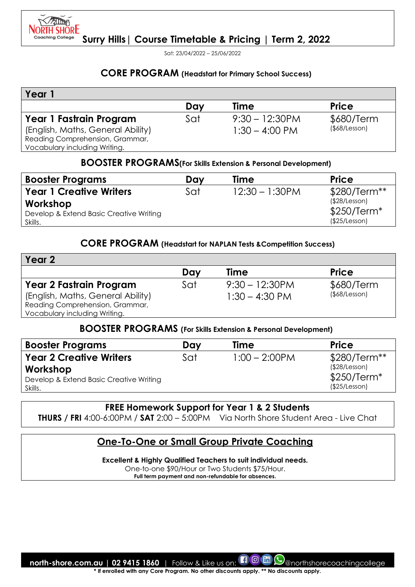

Sat: 23/04/2022 – 25/06/2022

#### **CORE PROGRAM (Headstart for Primary School Success)**

| Year                              |     |                          |                     |
|-----------------------------------|-----|--------------------------|---------------------|
|                                   | Day | <b>Time</b>              | <b>Price</b>        |
| Year 1 Fastrain Program           | Sat | $9:30 - 12:30$ PM        | \$680/Term          |
| (English, Maths, General Ability) |     | $1:30 - 4:00 \text{ PM}$ | $($ \$68/Lesson $)$ |
| Reading Comprehension, Grammar,   |     |                          |                     |
| Vocabulary including Writing.     |     |                          |                     |

#### **BOOSTER PROGRAMS(For Skills Extension & Personal Development)**

| <b>Booster Programs</b>                 | Dav | Time              | <b>Price</b>  |
|-----------------------------------------|-----|-------------------|---------------|
| <b>Year 1 Creative Writers</b>          | Sat | $12:30 - 1:30$ PM | $$280/Term**$ |
| Workshop                                |     |                   | (\$28/Lesson) |
| Develop & Extend Basic Creative Writing |     |                   | $$250/Term*$  |
| Skills.                                 |     |                   | (\$25/Lesson) |

### **CORE PROGRAM (Headstart for NAPLAN Tests &Competition Success)**

| Year 2                            |     |                   |                     |
|-----------------------------------|-----|-------------------|---------------------|
|                                   | Dav | Time              | <b>Price</b>        |
| <b>Year 2 Fastrain Program</b>    | Sat | $9:30 - 12:30$ PM | \$680/Term          |
| (English, Maths, General Ability) |     | $1:30 - 4:30$ PM  | $($ \$68/Lesson $)$ |
| Reading Comprehension, Grammar,   |     |                   |                     |
| Vocabulary including Writing.     |     |                   |                     |

### **BOOSTER PROGRAMS (For Skills Extension & Personal Development)**

| <b>Booster Programs</b>                 | Day | <b>Time</b>      | <b>Price</b>  |
|-----------------------------------------|-----|------------------|---------------|
| <b>Year 2 Creative Writers</b>          | Sat | $1:00 - 2:00$ PM | $$280/Term**$ |
| Workshop                                |     |                  | (\$28/Lesson) |
| Develop & Extend Basic Creative Writing |     |                  | $$250/Term*$  |
| Skills.                                 |     |                  | (\$25/Lesson) |

#### **FREE Homework Support for Year 1 & 2 Students**

**THURS / FRI** 4:00-6:00PM / **SAT** 2:00 – 5:00PM Via North Shore Student Area - Live Chat

### **One-To-One or Small Group Private Coaching**

**Excellent & Highly Qualified Teachers to suit individual needs.** 

One-to-one \$90/Hour or Two Students \$75/Hour. **Full term payment and non-refundable for absences.**

**north-shore.com.au | 02 9415 1860** | Follow & Like us on:  $\Box$  @ morthshorecoachingcollege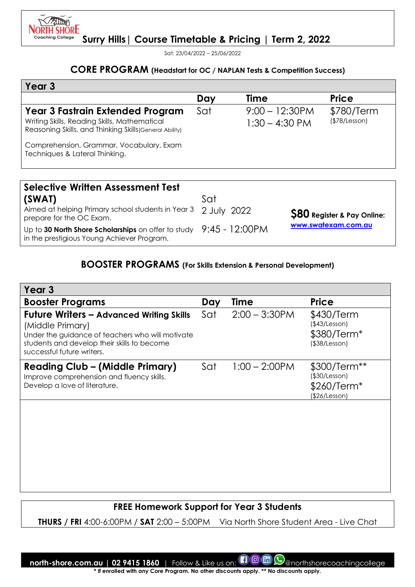

Sat: 23/04/2022 – 25/06/2022

### **CORE PROGRAM (Headstart for OC / NAPLAN Tests & Competition Success)**

| Year <sub>3</sub>                                                                                                                                  |     |                                       |                             |
|----------------------------------------------------------------------------------------------------------------------------------------------------|-----|---------------------------------------|-----------------------------|
|                                                                                                                                                    | Day | Time                                  | <b>Price</b>                |
| <b>Year 3 Fastrain Extended Program</b><br>Writing Skills, Reading Skills, Mathematical<br>Reasoning Skills, and Thinking Skills (General Ability) | Sat | $9:00 - 12:30$ PM<br>$1:30 - 4:30$ PM | \$780/Term<br>(\$78/Lesson) |
| Comprehension, Grammar, Vocabulary, Exam<br>Techniques & Lateral Thinking.                                                                         |     |                                       |                             |
|                                                                                                                                                    |     |                                       |                             |
| <b>Selective Written Assessment Test</b>                                                                                                           |     |                                       |                             |

| (SWAT)<br>Aimed at helping Primary school students in Year 3 2 July 2022                                                   | Sat |                                   |
|----------------------------------------------------------------------------------------------------------------------------|-----|-----------------------------------|
| prepare for the OC Exam.                                                                                                   |     | <b>S80</b> Register & Pay Online: |
| Up to 30 North Shore Scholarships on offer to study $9:45 - 12:00 \text{PM}$<br>in the prestigious Young Achiever Program. |     | www.swatexam.com.au               |

### **BOOSTER PROGRAMS (For Skills Extension & Personal Development)**

| Year <sub>3</sub>                                                                                                                                                                                    |     |                  |                                                               |
|------------------------------------------------------------------------------------------------------------------------------------------------------------------------------------------------------|-----|------------------|---------------------------------------------------------------|
| <b>Booster Programs</b>                                                                                                                                                                              | Day | Time             | <b>Price</b>                                                  |
| <b>Future Writers - Advanced Writing Skills</b><br>(Middle Primary)<br>Under the guidance of teachers who will motivate<br>students and develop their skills to become<br>successful future writers. | Sat | $2:00 - 3:30$ PM | \$430/Term<br>(\$43/Lesson)<br>\$380/Term*<br>(\$38/Lesson)   |
| <b>Reading Club - (Middle Primary)</b><br>Improve comprehension and fluency skills.<br>Develop a love of literature.                                                                                 | Sat | $1:00 - 2:00$ PM | \$300/Term**<br>(\$30/Lesson)<br>\$260/Term*<br>(\$26/Lesson) |

### **FREE Homework Support for Year 3 Students**

**THURS / FRI** 4:00-6:00PM / **SAT** 2:00 – 5:00PM Via North Shore Student Area - Live Chat

**north-shore.com.au | 02 9415 1860** | Follow & Like us on:  $\Box$  @ morthshorecoachingcollege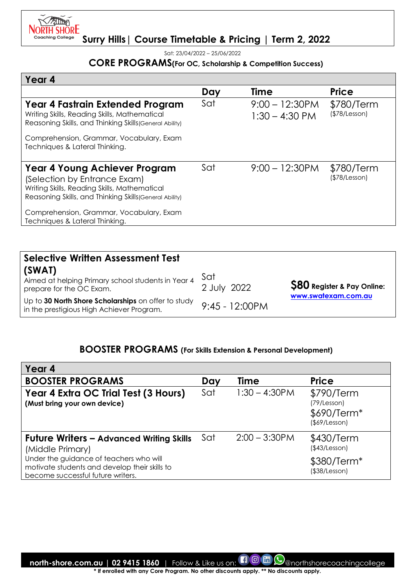

Sat: 23/04/2022 – 25/06/2022

### **CORE PROGRAMS(For OC, Scholarship & Competition Success)**

| Year 4                                                                                                                                                                                                                                                        |     |                                       |                             |
|---------------------------------------------------------------------------------------------------------------------------------------------------------------------------------------------------------------------------------------------------------------|-----|---------------------------------------|-----------------------------|
|                                                                                                                                                                                                                                                               | Day | Time                                  | <b>Price</b>                |
| Year 4 Fastrain Extended Program<br>Writing Skills, Reading Skills, Mathematical<br>Reasoning Skills, and Thinking Skills (General Ability)                                                                                                                   | Sat | $9:00 - 12:30$ PM<br>$1:30 - 4:30$ PM | \$780/Term<br>(\$78/Lesson) |
| Comprehension, Grammar, Vocabulary, Exam<br>Techniques & Lateral Thinking.                                                                                                                                                                                    |     |                                       |                             |
| <b>Year 4 Young Achiever Program</b><br>(Selection by Entrance Exam)<br>Writing Skills, Reading Skills, Mathematical<br>Reasoning Skills, and Thinking Skills (General Ability)<br>Comprehension, Grammar, Vocabulary, Exam<br>Techniques & Lateral Thinking. | Sat | $9:00 - 12:30$ PM                     | \$780/Term<br>(\$78/Lesson) |
|                                                                                                                                                                                                                                                               |     |                                       |                             |

| <b>Selective Written Assessment Test</b>                                                         |                    |                                   |
|--------------------------------------------------------------------------------------------------|--------------------|-----------------------------------|
| (SWAT)<br>Aimed at helping Primary school students in Year 4<br>prepare for the OC Exam.         | Sat<br>2 July 2022 | <b>S80</b> Register & Pay Online: |
| Up to 30 North Shore Scholarships on offer to study<br>in the prestigious High Achiever Program. | $9:45 - 12:00PM$   | www.swatexam.com.au               |

## **BOOSTER PROGRAMS (For Skills Extension & Personal Development)**

| Year 4                                                                                                                        |     |                  |                                                           |
|-------------------------------------------------------------------------------------------------------------------------------|-----|------------------|-----------------------------------------------------------|
| <b>BOOSTER PROGRAMS</b>                                                                                                       | Day | Time             | <b>Price</b>                                              |
| Year 4 Extra OC Trial Test (3 Hours)<br>(Must bring your own device)                                                          | Sat | $1:30 - 4:30$ PM | \$790/Term<br>(79/Lesson)<br>\$690/Term*<br>(\$69/Lesson) |
| <b>Future Writers - Advanced Writing Skills</b><br>(Middle Primary)                                                           | Sat | $2:00 - 3:30$ PM | \$430/Term<br>(\$43/Lesson)                               |
| Under the guidance of teachers who will<br>motivate students and develop their skills to<br>become successful future writers. |     |                  | \$380/Term <sup>*</sup><br>(\$38/Lesson)                  |

**north-shore.com.au | 02 9415 1860** | Follow & Like us on: **ENO MO** O @northshorecoachingcollege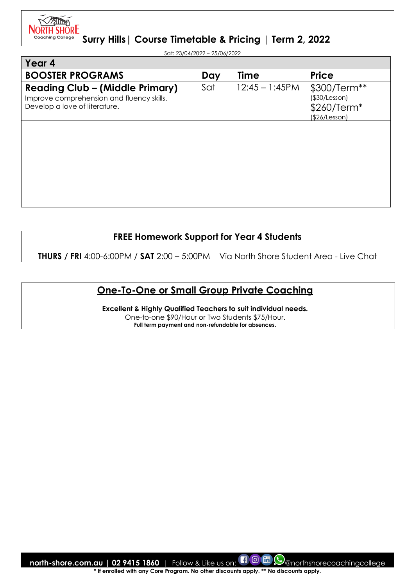71 M **NORTH SHORE** Coachina College

**Surry Hills| Course Timetable & Pricing | Term 2, 2022**

Sat: 23/04/2022 – 25/06/2022

| Year 4                                                                                                               |     |                   |                                                               |
|----------------------------------------------------------------------------------------------------------------------|-----|-------------------|---------------------------------------------------------------|
| <b>BOOSTER PROGRAMS</b>                                                                                              | Day | <b>Time</b>       | <b>Price</b>                                                  |
| <b>Reading Club - (Middle Primary)</b><br>Improve comprehension and fluency skills.<br>Develop a love of literature. | Sat | $12:45 - 1:45$ PM | \$300/Term**<br>(\$30/Lesson)<br>\$260/Term*<br>(\$26/Lesson) |
|                                                                                                                      |     |                   |                                                               |
|                                                                                                                      |     |                   |                                                               |
|                                                                                                                      |     |                   |                                                               |
|                                                                                                                      |     |                   |                                                               |
|                                                                                                                      |     |                   |                                                               |

### **FREE Homework Support for Year 4 Students**

**THURS / FRI** 4:00-6:00PM / **SAT** 2:00 – 5:00PM Via North Shore Student Area - Live Chat

## **One-To-One or Small Group Private Coaching**

**Excellent & Highly Qualified Teachers to suit individual needs.**  One-to-one \$90/Hour or Two Students \$75/Hour. **Full term payment and non-refundable for absences.**

**north-shore.com.au | 02 9415 1860** | Follow & Like us on:  $\Box$  @  $\Box$  @northshorecoachingcollege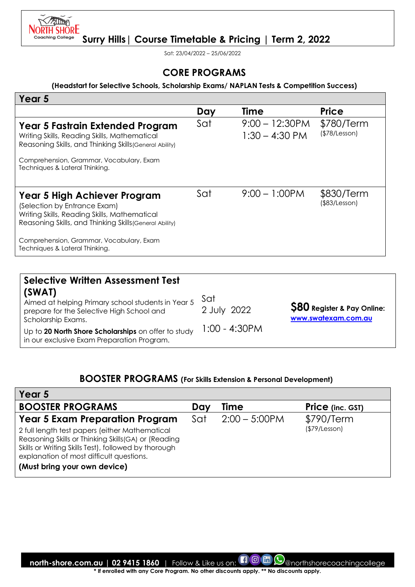

Sat: 23/04/2022 – 25/06/2022

### **CORE PROGRAMS**

#### **(Headstart for Selective Schools, Scholarship Exams/ NAPLAN Tests & Competition Success)**

| Year <sub>5</sub>                                                                                                                                                                       |     |                                       |                             |
|-----------------------------------------------------------------------------------------------------------------------------------------------------------------------------------------|-----|---------------------------------------|-----------------------------|
|                                                                                                                                                                                         | Day | Time                                  | <b>Price</b>                |
| Year 5 Fastrain Extended Program<br>Writing Skills, Reading Skills, Mathematical<br>Reasoning Skills, and Thinking Skills (General Ability)<br>Comprehension, Grammar, Vocabulary, Exam | Sat | $9:00 - 12:30$ PM<br>$1:30 - 4:30$ PM | \$780/Term<br>(\$78/Lesson) |
| Techniques & Lateral Thinking.                                                                                                                                                          |     |                                       |                             |
|                                                                                                                                                                                         |     |                                       |                             |
| Year 5 High Achiever Program<br>(Selection by Entrance Exam)<br>Writing Skills, Reading Skills, Mathematical<br>Reasoning Skills, and Thinking Skills (General Ability)                 | Sat | $9:00 - 1:00$ PM                      | \$830/Term<br>(\$83/Lesson) |
| Comprehension, Grammar, Vocabulary, Exam<br>Techniques & Lateral Thinking.                                                                                                              |     |                                       |                             |

| <b>Selective Written Assessment Test</b><br>(SWAT)<br>Aimed at helping Primary school students in Year 5<br>prepare for the Selective High School and<br>Scholarship Exams.<br>Up to 20 North Shore Scholarships on offer to study | Sat<br>2 July 2022<br>1:00 - 4:30PM | <b>S80</b> Register & Pay Online:<br>www.swatexam.com.au |
|------------------------------------------------------------------------------------------------------------------------------------------------------------------------------------------------------------------------------------|-------------------------------------|----------------------------------------------------------|
| in our exclusive Exam Preparation Program.                                                                                                                                                                                         |                                     |                                                          |

### **BOOSTER PROGRAMS (For Skills Extension & Personal Development)**

| Year 5                                                                                                                                                                                                                                     |     |                  |                         |
|--------------------------------------------------------------------------------------------------------------------------------------------------------------------------------------------------------------------------------------------|-----|------------------|-------------------------|
| <b>BOOSTER PROGRAMS</b>                                                                                                                                                                                                                    | Day | Time             | <b>Price</b> (inc. GST) |
| <b>Year 5 Exam Preparation Program</b>                                                                                                                                                                                                     | Sat | $2:00 - 5:00$ PM | \$790/Term              |
| 2 full length test papers (either Mathematical<br>Reasoning Skills or Thinking Skills (GA) or (Reading<br>Skills or Writing Skills Test), followed by thorough<br>explanation of most difficult questions.<br>(Must bring your own device) |     |                  | (\$79/Lesson)           |

**north-shore.com.au | 02 9415 1860** | Follow & Like us on: **COM** (O) anorthshorecoachingcollege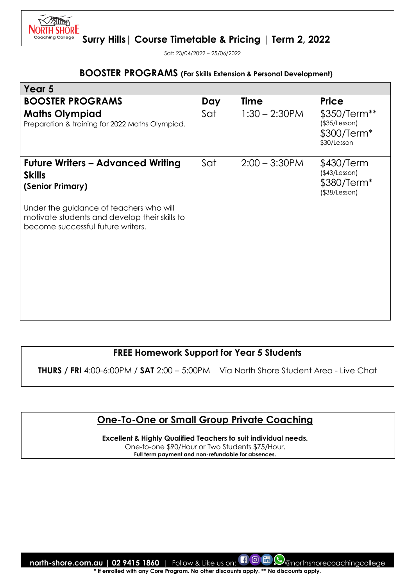

Sat: 23/04/2022 – 25/06/2022

#### **BOOSTER PROGRAMS (For Skills Extension & Personal Development)**

| Year 5                                                                                                                        |     |                  |                                                                   |
|-------------------------------------------------------------------------------------------------------------------------------|-----|------------------|-------------------------------------------------------------------|
| <b>BOOSTER PROGRAMS</b>                                                                                                       | Day | <b>Time</b>      | <b>Price</b>                                                      |
| <b>Maths Olympiad</b><br>Preparation & training for 2022 Maths Olympiad.                                                      | Sat | $1:30 - 2:30$ PM | \$350/Term**<br>(\$35/Lesson)<br>\$300/Term*<br>\$30/Lesson       |
| <b>Future Writers - Advanced Writing</b><br><b>Skills</b><br>(Senior Primary)                                                 | Sat | $2:00 - 3:30$ PM | \$430/Term<br>(\$43/Lesson)<br>\$380/Term*<br>$($ \$38/Lesson $)$ |
| Under the guidance of teachers who will<br>motivate students and develop their skills to<br>become successful future writers. |     |                  |                                                                   |
|                                                                                                                               |     |                  |                                                                   |

### **FREE Homework Support for Year 5 Students**

**THURS / FRI** 4:00-6:00PM / **SAT** 2:00 – 5:00PM Via North Shore Student Area - Live Chat

### **One-To-One or Small Group Private Coaching**

**Excellent & Highly Qualified Teachers to suit individual needs.**  One-to-one \$90/Hour or Two Students \$75/Hour. **Full term payment and non-refundable for absences.**

**north-shore.com.au | 02 9415 1860** | Follow & Like us on:  $\Box$  @  $\Box$  @northshorecoachingcollege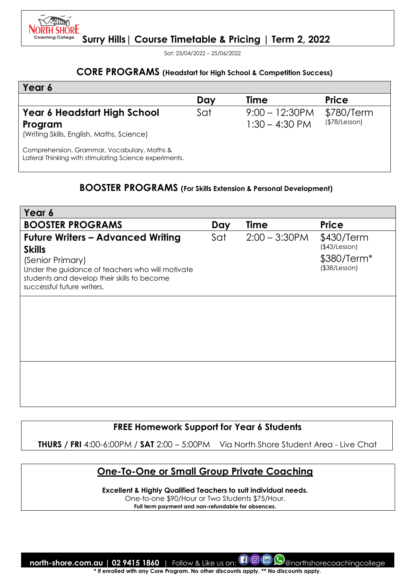

Sat: 23/04/2022 – 25/06/2022

### **CORE PROGRAMS (Headstart for High School & Competition Success)**

| Year 6                                                                                                |     |                   |               |
|-------------------------------------------------------------------------------------------------------|-----|-------------------|---------------|
|                                                                                                       | Day | Time              | <b>Price</b>  |
| Year 6 Headstart High School                                                                          | Sat | $9:00 - 12:30$ PM | \$780/Term    |
| Program<br>(Writing Skills, English, Maths, Science)                                                  |     | $1:30 - 4:30$ PM  | (\$78/Lesson) |
| Comprehension, Grammar, Vocabulary, Maths &<br>Lateral Thinking with stimulating Science experiments. |     |                   |               |

### **BOOSTER PROGRAMS (For Skills Extension & Personal Development)**

| Year 6                                                                                                                                                                                                         |     |                  |                                                                   |
|----------------------------------------------------------------------------------------------------------------------------------------------------------------------------------------------------------------|-----|------------------|-------------------------------------------------------------------|
| <b>BOOSTER PROGRAMS</b>                                                                                                                                                                                        | Day | <b>Time</b>      | <b>Price</b>                                                      |
| <b>Future Writers - Advanced Writing</b><br><b>Skills</b><br>(Senior Primary)<br>Under the guidance of teachers who will motivate<br>students and develop their skills to become<br>successful future writers. | Sat | $2:00 - 3:30$ PM | \$430/Term<br>(\$43/Lesson)<br>\$380/Term*<br>$($ \$38/Lesson $)$ |
|                                                                                                                                                                                                                |     |                  |                                                                   |
|                                                                                                                                                                                                                |     |                  |                                                                   |
|                                                                                                                                                                                                                |     |                  |                                                                   |
|                                                                                                                                                                                                                |     |                  |                                                                   |
|                                                                                                                                                                                                                |     |                  |                                                                   |
|                                                                                                                                                                                                                |     |                  |                                                                   |
|                                                                                                                                                                                                                |     |                  |                                                                   |

### **FREE Homework Support for Year 6 Students**

**THURS / FRI** 4:00-6:00PM / **SAT** 2:00 – 5:00PM Via North Shore Student Area - Live Chat

### **One-To-One or Small Group Private Coaching**

**Excellent & Highly Qualified Teachers to suit individual needs.** 

One-to-one \$90/Hour or Two Students \$75/Hour.

**Full term payment and non-refundable for absences.**

**north-shore.com.au | 02 9415 1860** | Follow & Like us on: **[1 0 m**  $\odot$  morthshorecoachingcollege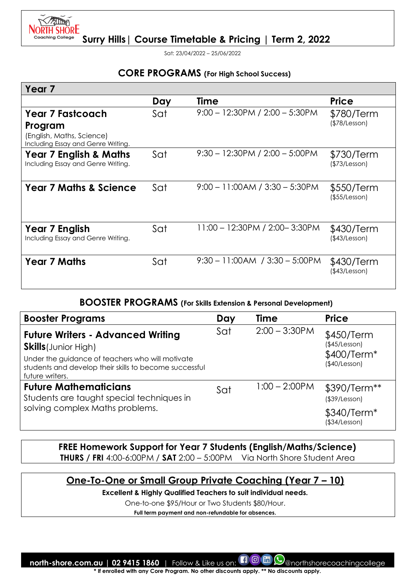

**Surry Hills| Course Timetable & Pricing | Term 2, 2022**

Sat: 23/04/2022 – 25/06/2022

#### **CORE PROGRAMS (For High School Success)**

| Year 7                                                                     |     |                                    |                                   |
|----------------------------------------------------------------------------|-----|------------------------------------|-----------------------------------|
|                                                                            | Day | Time                               | <b>Price</b>                      |
| <b>Year 7 Fastcoach</b>                                                    | Sat | $9:00 - 12:30PM / 2:00 - 5:30PM$   | \$780/Term                        |
| Program<br>(English, Maths, Science)<br>Including Essay and Genre Writing. |     |                                    | (\$78/Lesson)                     |
| <b>Year 7 English &amp; Maths</b><br>Including Essay and Genre Writing.    | Sat | $9:30 - 12:30PM / 2:00 - 5:00PM$   | \$730/Term<br>(\$73/Lesson)       |
| <b>Year 7 Maths &amp; Science</b>                                          | Sat | $9:00 - 11:00AM / 3:30 - 5:30PM$   | \$550/Term<br>$($ \$55/Lesson $)$ |
| Year 7 English<br>Including Essay and Genre Writing.                       | Sat | 11:00 - 12:30PM / 2:00-3:30PM      | \$430/Term<br>(\$43/Lesson)       |
| <b>Year 7 Maths</b>                                                        | Sat | $9:30 - 11:00AM$ / $3:30 - 5:00PM$ | \$430/Term<br>(\$43/Lesson)       |

#### **BOOSTER PROGRAMS (For Skills Extension & Personal Development)**

| <b>Booster Programs</b>                                                                                                       | Day | <b>Time</b>      | <b>Price</b>                               |
|-------------------------------------------------------------------------------------------------------------------------------|-----|------------------|--------------------------------------------|
| <b>Future Writers - Advanced Writing</b><br><b>Skills</b> (Junior High)                                                       | Sat | $2:00 - 3:30$ PM | \$450/Term<br>(\$45/Lesson)<br>\$400/Term* |
| Under the guidance of teachers who will motivate<br>students and develop their skills to become successful<br>future writers. |     |                  | (\$40/Lesson)                              |
| <b>Future Mathematicians</b><br>Students are taught special techniques in                                                     | Sat | $1:00 - 2:00$ PM | \$390/Term**<br>(\$39/Lesson)              |
| solving complex Maths problems.                                                                                               |     |                  | \$340/Term*<br>(\$34/Lesson)               |

**FREE Homework Support for Year 7 Students (English/Maths/Science) THURS / FRI** 4:00-6:00PM / **SAT** 2:00 – 5:00PM Via North Shore Student Area

### **One-To-One or Small Group Private Coaching (Year 7 – 10)**

**Excellent & Highly Qualified Teachers to suit individual needs.** 

One-to-one \$95/Hour or Two Students \$80/Hour.

**Full term payment and non-refundable for absences.**

**north-shore.com.au | 02 9415 1860** | Follow & Like us on: **[1 0 m (9** anorthshorecoachingcollege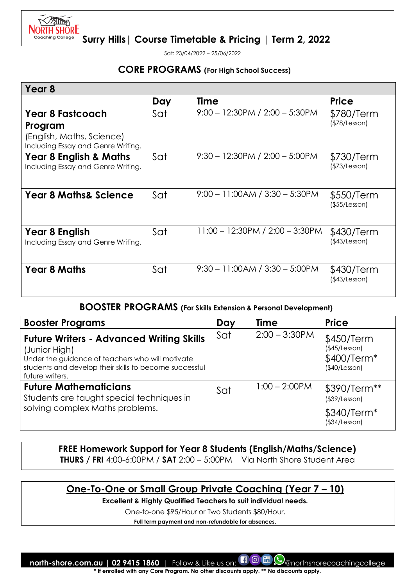

Sat: 23/04/2022 – 25/06/2022

#### **CORE PROGRAMS (For High School Success)**

| Year 8                                                                  |     |                                   |                                   |
|-------------------------------------------------------------------------|-----|-----------------------------------|-----------------------------------|
|                                                                         | Day | <b>Time</b>                       | <b>Price</b>                      |
| <b>Year 8 Fastcoach</b>                                                 | Sat | $9:00 - 12:30PM / 2:00 - 5:30PM$  | \$780/Term                        |
| Program                                                                 |     |                                   | (\$78/Lesson)                     |
| (English, Maths, Science)                                               |     |                                   |                                   |
| Including Essay and Genre Writing.                                      |     |                                   |                                   |
| <b>Year 8 English &amp; Maths</b><br>Including Essay and Genre Writing. | Sat | $9:30 - 12:30PM / 2:00 - 5:00PM$  | \$730/Term<br>(\$73/Lesson)       |
| <b>Year 8 Maths&amp; Science</b>                                        | Sat | $9:00 - 11:00AM / 3:30 - 5:30PM$  | \$550/Term<br>$($ \$55/Lesson $)$ |
| Year 8 English<br>Including Essay and Genre Writing.                    | Sat | $11:00 - 12:30PM / 2:00 - 3:30PM$ | \$430/Term<br>(\$43/Lesson)       |
|                                                                         |     |                                   |                                   |
| <b>Year 8 Maths</b>                                                     | Sat | $9:30 - 11:00AM / 3:30 - 5:00PM$  | \$430/Term<br>(\$43/Lesson)       |

**BOOSTER PROGRAMS (For Skills Extension & Personal Development)** 

| <b>Booster Programs</b>                                                                                                                                                                           | Day | <b>Time</b>      | <b>Price</b>                                                              |
|---------------------------------------------------------------------------------------------------------------------------------------------------------------------------------------------------|-----|------------------|---------------------------------------------------------------------------|
| <b>Future Writers - Advanced Writing Skills</b><br>(Junior High)<br>Under the guidance of teachers who will motivate<br>students and develop their skills to become successful<br>future writers. | Sat | $2:00 - 3:30$ PM | \$450/Term<br>(\$45/Lesson)<br>\$400/Term*<br>(\$40/Lesson)               |
| <b>Future Mathematicians</b><br>Students are taught special techniques in<br>solving complex Maths problems.                                                                                      | Sat | $1:00 - 2:00$ PM | \$390/Term**<br>(\$39/Lesson)<br>\$340/Term <sup>*</sup><br>(\$34/Lesson) |

**FREE Homework Support for Year 8 Students (English/Maths/Science) THURS / FRI** 4:00-6:00PM / **SAT** 2:00 – 5:00PM Via North Shore Student Area

## **One-To-One or Small Group Private Coaching (Year 7 – 10)**

**Excellent & Highly Qualified Teachers to suit individual needs.** 

One-to-one \$95/Hour or Two Students \$80/Hour.

**Full term payment and non-refundable for absences.**

**north-shore.com.au | 02 9415 1860** | Follow & Like us on: **[1 0 m (9** anorthshorecoachingcollege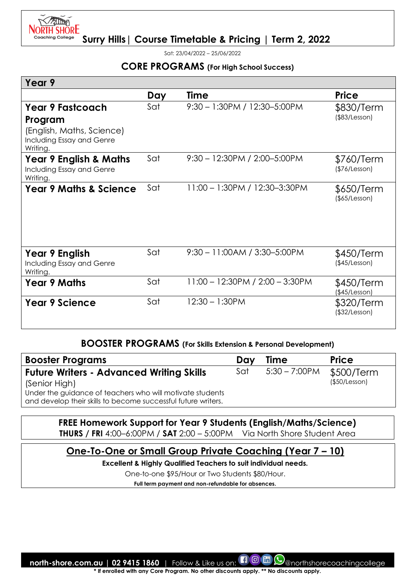

Sat: 23/04/2022 – 25/06/2022

#### **CORE PROGRAMS (For High School Success)**

| Year 9                                                                                                   |     |                                   |                                   |
|----------------------------------------------------------------------------------------------------------|-----|-----------------------------------|-----------------------------------|
|                                                                                                          | Day | <b>Time</b>                       | <b>Price</b>                      |
| <b>Year 9 Fastcoach</b><br>Program<br>(English, Maths, Science)<br>Including Essay and Genre<br>Writing. | Sat | 9:30 - 1:30PM / 12:30-5:00PM      | \$830/Term<br>$($ \$83/Lesson $)$ |
| <b>Year 9 English &amp; Maths</b><br>Including Essay and Genre<br>Writing.                               | Sat | $9:30 - 12:30PM / 2:00 - 5:00PM$  | \$760/Term<br>(\$76/Lesson)       |
| <b>Year 9 Maths &amp; Science</b>                                                                        | Sat | 11:00 - 1:30PM / 12:30-3:30PM     | \$650/Term<br>$($ \$65/Lesson $)$ |
| Year 9 English<br>Including Essay and Genre<br>Writing.                                                  | Sat | $9:30 - 11:00AM / 3:30 - 5:00PM$  | \$450/Term<br>(\$45/Lesson)       |
| <b>Year 9 Maths</b>                                                                                      | Sat | $11:00 - 12:30PM / 2:00 - 3:30PM$ | \$450/Term<br>(\$45/Lesson)       |
| <b>Year 9 Science</b>                                                                                    | Sat | $12:30 - 1:30$ PM                 | \$320/Term<br>(\$32/Lesson)       |

#### **BOOSTER PROGRAMS (For Skills Extension & Personal Development)**

| <b>Booster Programs</b>                                                                                                    | Dav | <b>Time</b>      | <b>Price</b>  |
|----------------------------------------------------------------------------------------------------------------------------|-----|------------------|---------------|
| <b>Future Writers - Advanced Writing Skills</b>                                                                            | Sat | $5:30 - 7:00$ PM | \$500/Term    |
| (Senior High)                                                                                                              |     |                  | (\$50/Lesson) |
| Under the guidance of teachers who will motivate students<br>and develop their skills to become successful future writers. |     |                  |               |

**FREE Homework Support for Year 9 Students (English/Maths/Science) THURS / FRI** 4:00–6:00PM / **SAT** 2:00 – 5:00PM Via North Shore Student Area

## **One-To-One or Small Group Private Coaching (Year 7 – 10)**

**Excellent & Highly Qualified Teachers to suit individual needs.** 

One-to-one \$95/Hour or Two Students \$80/Hour.

**Full term payment and non-refundable for absences.**

**north-shore.com.au | 02 9415 1860** | Follow & Like us on:  $\Box$  @ morthshorecoachingcollege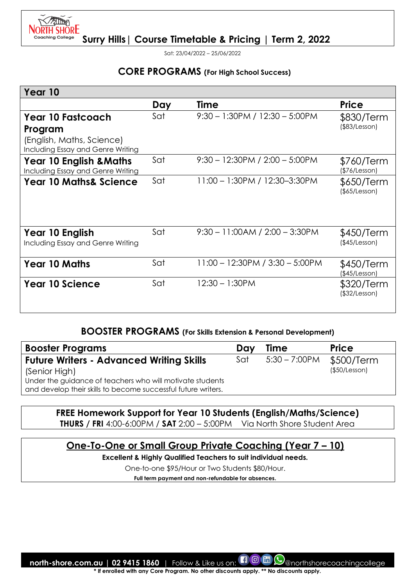

Sat: 23/04/2022 – 25/06/2022

#### **CORE PROGRAMS (For High School Success)**

| Year 10                                                                 |     |                                   |                             |
|-------------------------------------------------------------------------|-----|-----------------------------------|-----------------------------|
|                                                                         | Day | <b>Time</b>                       | <b>Price</b>                |
| <b>Year 10 Fastcoach</b>                                                | Sat | $9:30 - 1:30$ PM / 12:30 - 5:00PM | \$830/Term                  |
| Program                                                                 |     |                                   | $($ \$83/Lesson $)$         |
| (English, Maths, Science)<br>Including Essay and Genre Writing          |     |                                   |                             |
| <b>Year 10 English &amp; Maths</b><br>Including Essay and Genre Writing | Sat | $9:30 - 12:30PM / 2:00 - 5:00PM$  | \$760/Term<br>(\$76/Lesson) |
| <b>Year 10 Maths&amp; Science</b>                                       | Sat | 11:00 - 1:30PM / 12:30-3:30PM     | \$650/Term<br>(\$5/Lesson)  |
| Year 10 English<br>Including Essay and Genre Writing                    | Sat | $9:30 - 11:00AM / 2:00 - 3:30PM$  | \$450/Term<br>(\$45/Lesson) |
| <b>Year 10 Maths</b>                                                    | Sat | 11:00 - 12:30PM / 3:30 - 5:00PM   | \$450/Term<br>(\$45/Lesson) |
| Year 10 Science                                                         | Sat | $12:30 - 1:30$ PM                 | \$320/Term<br>(\$32/Lesson) |

### **BOOSTER PROGRAMS (For Skills Extension & Personal Development)**

| <b>Booster Programs</b>                                                                                                    | Dav | <b>Time</b>      | <b>Price</b>  |
|----------------------------------------------------------------------------------------------------------------------------|-----|------------------|---------------|
| <b>Future Writers - Advanced Writing Skills</b>                                                                            | Sat | $5:30 - 7:00$ PM | \$500/Term    |
| (Senior High)                                                                                                              |     |                  | (\$50/Lesson) |
| Under the guidance of teachers who will motivate students<br>and develop their skills to become successful future writers. |     |                  |               |

### **FREE Homework Support for Year 10 Students (English/Maths/Science)**

**THURS / FRI** 4:00-6:00PM / **SAT** 2:00 – 5:00PM Via North Shore Student Area

### **One-To-One or Small Group Private Coaching (Year 7 – 10)**

**Excellent & Highly Qualified Teachers to suit individual needs.** 

One-to-one \$95/Hour or Two Students \$80/Hour.

**Full term payment and non-refundable for absences.**

**north-shore.com.au | 02 9415 1860** | Follow & Like us on:  $\blacksquare$   $\textcircled{C}$   $\blacksquare$   $\textcircled{C}$  anorthshorecoachingcollege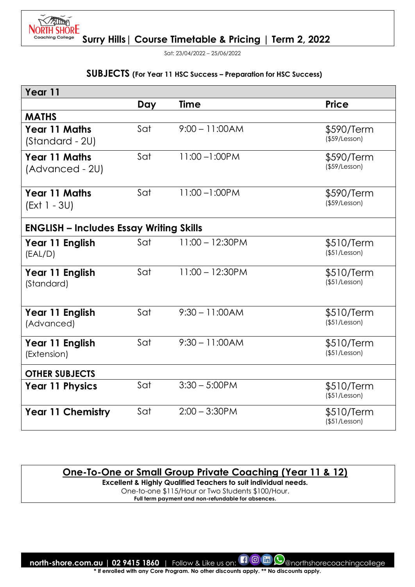

Sat: 23/04/2022 – 25/06/2022

#### **SUBJECTS (For Year 11 HSC Success – Preparation for HSC Success)**

| Year 11                                        |     |                    |                                   |  |  |
|------------------------------------------------|-----|--------------------|-----------------------------------|--|--|
|                                                | Day | <b>Time</b>        | <b>Price</b>                      |  |  |
| <b>MATHS</b>                                   |     |                    |                                   |  |  |
| <b>Year 11 Maths</b><br>(Standard - 2U)        | Sat | $9:00 - 11:00AM$   | \$590/Term<br>$($ \$59/Lesson $)$ |  |  |
| <b>Year 11 Maths</b><br>(Advanced - 2U)        | Sat | $11:00 - 1:00$ PM  | \$590/Term<br>$($ \$59/Lesson $)$ |  |  |
| <b>Year 11 Maths</b><br>(Ext 1 - 3U)           | Sat | $11:00 - 1:00$ PM  | \$590/Term<br>$($ \$59/Lesson $)$ |  |  |
| <b>ENGLISH - Includes Essay Writing Skills</b> |     |                    |                                   |  |  |
| Year 11 English<br>(EAL/D)                     | Sat | $11:00 - 12:30$ PM | \$510/Term<br>$($ \$51/Lesson $)$ |  |  |
| Year 11 English<br>(Standard)                  | Sat | $11:00 - 12:30PM$  | \$510/Term<br>(\$51/Lesson)       |  |  |
| Year 11 English<br>(Advanced)                  | Sat | $9:30 - 11:00AM$   | \$510/Term<br>$($ \$51/Lesson $)$ |  |  |
| Year 11 English<br>(Extension)                 | Sat | $9:30 - 11:00AM$   | \$510/Term<br>$($ \$51/Lesson $)$ |  |  |
| <b>OTHER SUBJECTS</b>                          |     |                    |                                   |  |  |
| <b>Year 11 Physics</b>                         | Sat | $3:30 - 5:00$ PM   | \$510/Term<br>(\$51/Lesson)       |  |  |
| <b>Year 11 Chemistry</b>                       | Sat | $2:00 - 3:30$ PM   | \$510/Term<br>$($ \$51/Lesson $)$ |  |  |

**One-To-One or Small Group Private Coaching (Year 11 & 12)** 

**Excellent & Highly Qualified Teachers to suit individual needs.**  One-to-one \$115/Hour or Two Students \$100/Hour. **Full term payment and non-refundable for absences.**

**north-shore.com.au | 02 9415 1860** | Follow & Like us on:  $\Box$  @ morthshorecoachingcollege